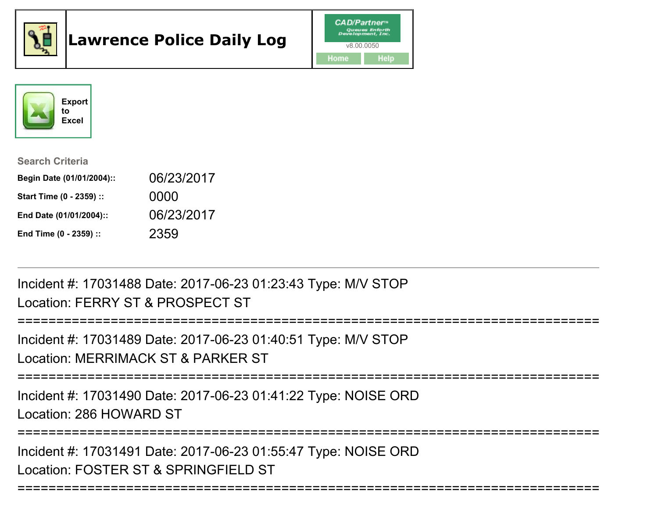

# Lawrence Police Daily Log



|  | <b>Export</b><br>to<br><b>Excel</b> |
|--|-------------------------------------|
|--|-------------------------------------|

| <b>Search Criteria</b>    |            |
|---------------------------|------------|
| Begin Date (01/01/2004):: | 06/23/2017 |
| Start Time (0 - 2359) ::  | 0000       |
| End Date (01/01/2004)::   | 06/23/2017 |
| End Time (0 - 2359) ::    | 2359       |

Incident #: 17031488 Date: 2017-06-23 01:23:43 Type: M/V STOPLocation: FERRY ST & PROSPECT ST

```
===========================================================================Incident #: 17031489 Date: 2017-06-23 01:40:51 Type: M/V STOPLocation: MERRIMACK ST & PARKER ST===========================================================================Incident #: 17031490 Date: 2017-06-23 01:41:22 Type: NOISE ORDLocation: 286 HOWARD ST===========================================================================Incident #: 17031491 Date: 2017-06-23 01:55:47 Type: NOISE ORDLocation: FOSTER ST & SPRINGFIELD ST
```
===========================================================================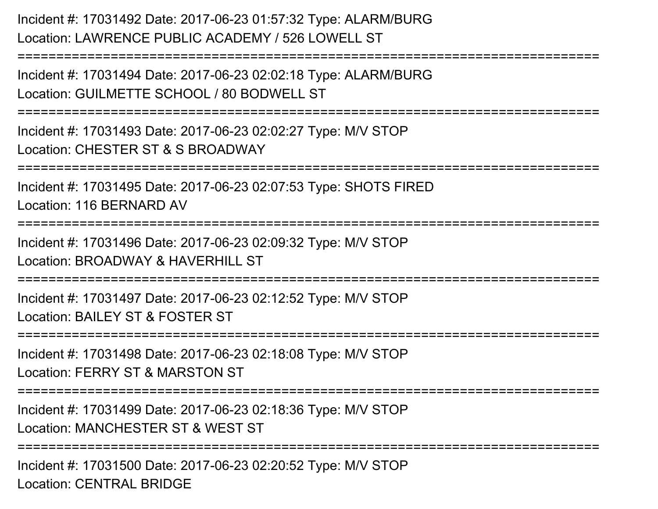Incident #: 17031492 Date: 2017-06-23 01:57:32 Type: ALARM/BURGLocation: LAWRENCE PUBLIC ACADEMY / 526 LOWELL ST

Incident #: 17031494 Date: 2017-06-23 02:02:18 Type: ALARM/BURGLocation: GUILMETTE SCHOOL / 80 BODWELL ST

===========================================================================

===========================================================================

Incident #: 17031493 Date: 2017-06-23 02:02:27 Type: M/V STOPLocation: CHESTER ST & S BROADWAY

===========================================================================

Incident #: 17031495 Date: 2017-06-23 02:07:53 Type: SHOTS FIRED

Location: 116 BERNARD AV

===========================================================================

Incident #: 17031496 Date: 2017-06-23 02:09:32 Type: M/V STOPLocation: BROADWAY & HAVERHILL ST

===========================================================================

Incident #: 17031497 Date: 2017-06-23 02:12:52 Type: M/V STOPLocation: BAILEY ST & FOSTER ST

===========================================================================

Incident #: 17031498 Date: 2017-06-23 02:18:08 Type: M/V STOP

Location: FERRY ST & MARSTON ST

===========================================================================

Incident #: 17031499 Date: 2017-06-23 02:18:36 Type: M/V STOP

Location: MANCHESTER ST & WEST ST

===========================================================================

Incident #: 17031500 Date: 2017-06-23 02:20:52 Type: M/V STOPLocation: CENTRAL BRIDGE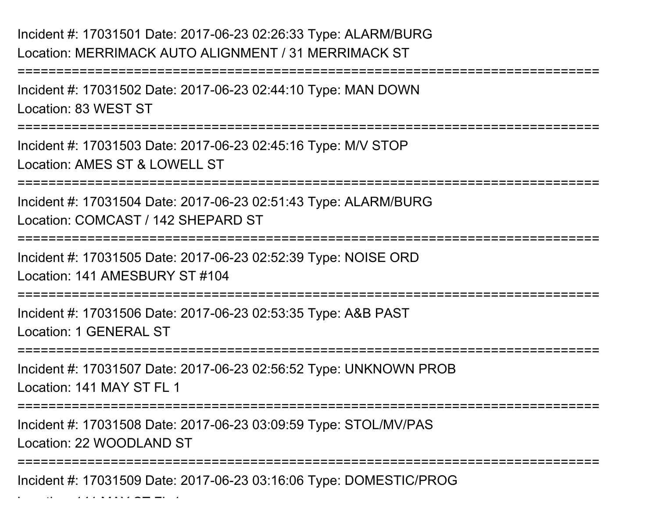# Incident #: 17031501 Date: 2017-06-23 02:26:33 Type: ALARM/BURGLocation: MERRIMACK AUTO ALIGNMENT / 31 MERRIMACK ST

Incident #: 17031502 Date: 2017-06-23 02:44:10 Type: MAN DOWNLocation: 83 WEST ST

==================

===========================================================================

Incident #: 17031503 Date: 2017-06-23 02:45:16 Type: M/V STOPLocation: AMES ST & LOWELL ST

===========================================================================

Incident #: 17031504 Date: 2017-06-23 02:51:43 Type: ALARM/BURGLocation: COMCAST / 142 SHEPARD ST

===========================================================================

Incident #: 17031505 Date: 2017-06-23 02:52:39 Type: NOISE ORDLocation: 141 AMESBURY ST #104

===========================================================================

Incident #: 17031506 Date: 2017-06-23 02:53:35 Type: A&B PAST

Location: 1 GENERAL ST

 $\mathcal{L}$  and  $\mathcal{L}$  is the state of  $\mathcal{L}$  functions of  $\mathcal{L}$ 

===========================================================================

Incident #: 17031507 Date: 2017-06-23 02:56:52 Type: UNKNOWN PROBLocation: 141 MAY ST FL 1

===========================================================================

Incident #: 17031508 Date: 2017-06-23 03:09:59 Type: STOL/MV/PASLocation: 22 WOODLAND ST

===========================================================================

Incident #: 17031509 Date: 2017-06-23 03:16:06 Type: DOMESTIC/PROG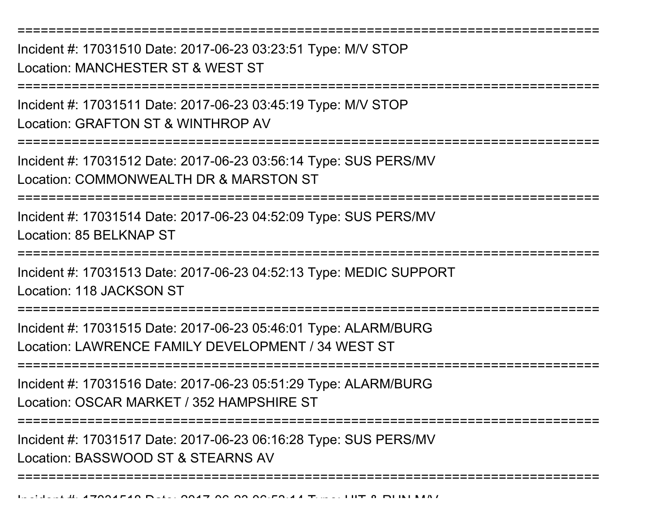Incident #: 17031510 Date: 2017-06-23 03:23:51 Type: M/V STOPLocation: MANCHESTER ST & WEST ST

===========================================================================

===========================================================================

Incident #: 17031511 Date: 2017-06-23 03:45:19 Type: M/V STOPLocation: GRAFTON ST & WINTHROP AV

===========================================================================

Incident #: 17031512 Date: 2017-06-23 03:56:14 Type: SUS PERS/MVLocation: COMMONWEALTH DR & MARSTON ST

===========================================================================

Incident #: 17031514 Date: 2017-06-23 04:52:09 Type: SUS PERS/MVLocation: 85 BELKNAP ST

===========================================================================

Incident #: 17031513 Date: 2017-06-23 04:52:13 Type: MEDIC SUPPORTLocation: 118 JACKSON ST

===========================================================================

Incident #: 17031515 Date: 2017-06-23 05:46:01 Type: ALARM/BURGLocation: LAWRENCE FAMILY DEVELOPMENT / 34 WEST ST

===========================================================================

Incident #: 17031516 Date: 2017-06-23 05:51:29 Type: ALARM/BURGLocation: OSCAR MARKET / 352 HAMPSHIRE ST

===========================================================================

===========================================================================

Incident #: 17031517 Date: 2017-06-23 06:16:28 Type: SUS PERS/MVLocation: BASSWOOD ST & STEARNS AV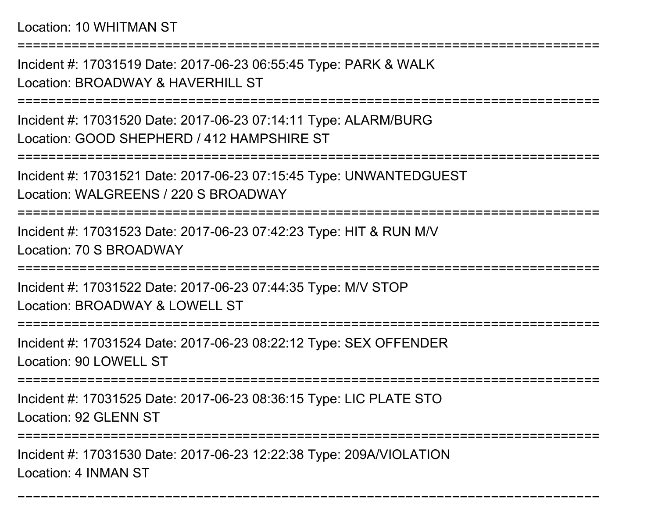Location: 10 WHITMAN ST

Incident #: 17031519 Date: 2017-06-23 06:55:45 Type: PARK & WALKLocation: BROADWAY & HAVERHILL ST

===========================================================================

===========================================================================

Incident #: 17031520 Date: 2017-06-23 07:14:11 Type: ALARM/BURGLocation: GOOD SHEPHERD / 412 HAMPSHIRE ST

===========================================================================

Incident #: 17031521 Date: 2017-06-23 07:15:45 Type: UNWANTEDGUESTLocation: WALGREENS / 220 S BROADWAY

===========================================================================

Incident #: 17031523 Date: 2017-06-23 07:42:23 Type: HIT & RUN M/VLocation: 70 S BROADWAY

===========================================================================

Incident #: 17031522 Date: 2017-06-23 07:44:35 Type: M/V STOPLocation: BROADWAY & LOWELL ST

===========================================================================

Incident #: 17031524 Date: 2017-06-23 08:22:12 Type: SEX OFFENDERLocation: 90 LOWELL ST

===========================================================================

Incident #: 17031525 Date: 2017-06-23 08:36:15 Type: LIC PLATE STO

Location: 92 GLENN ST

=====================

===========================================================================

Incident #: 17031530 Date: 2017-06-23 12:22:38 Type: 209A/VIOLATIONLocation: 4 INMAN ST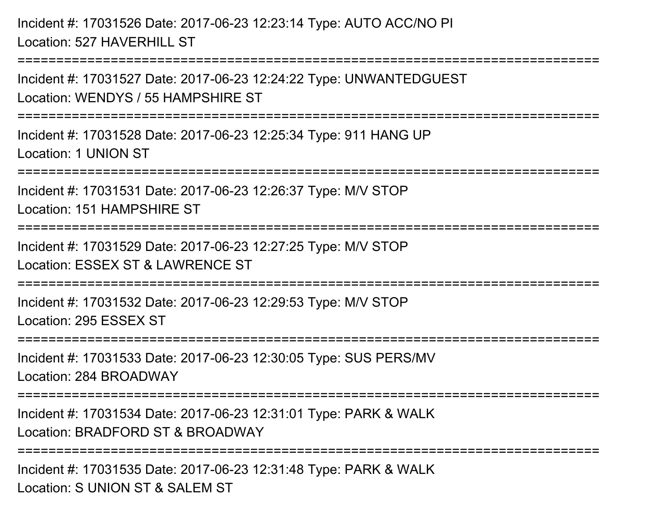Incident #: 17031526 Date: 2017-06-23 12:23:14 Type: AUTO ACC/NO PILocation: 527 HAVERHILL ST======================= Incident #: 17031527 Date: 2017-06-23 12:24:22 Type: UNWANTEDGUESTLocation: WENDYS / 55 HAMPSHIRE ST===========================================================================Incident #: 17031528 Date: 2017-06-23 12:25:34 Type: 911 HANG UPLocation: 1 UNION ST===========================================================================Incident #: 17031531 Date: 2017-06-23 12:26:37 Type: M/V STOPLocation: 151 HAMPSHIRE ST===========================================================================Incident #: 17031529 Date: 2017-06-23 12:27:25 Type: M/V STOPLocation: ESSEX ST & LAWRENCE ST===========================================================================Incident #: 17031532 Date: 2017-06-23 12:29:53 Type: M/V STOPLocation: 295 ESSEX ST===========================================================================Incident #: 17031533 Date: 2017-06-23 12:30:05 Type: SUS PERS/MVLocation: 284 BROADWAY===========================================================================Incident #: 17031534 Date: 2017-06-23 12:31:01 Type: PARK & WALKLocation: BRADFORD ST & BROADWAY===========================================================================Incident #: 17031535 Date: 2017-06-23 12:31:48 Type: PARK & WALKLocation: S UNION ST & SALEM ST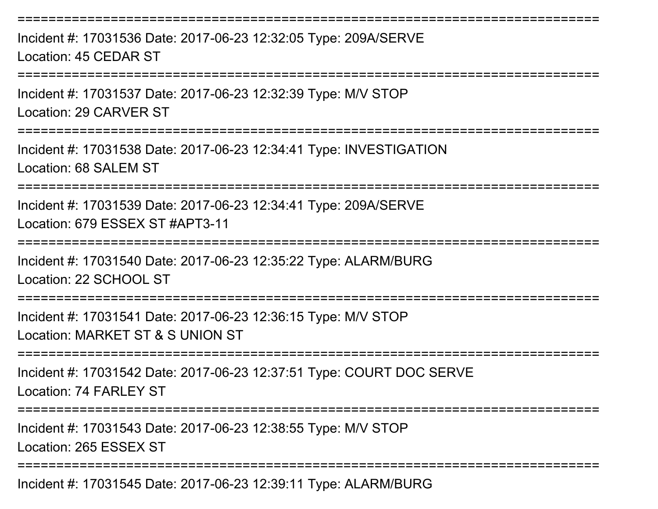===========================================================================Incident #: 17031536 Date: 2017-06-23 12:32:05 Type: 209A/SERVELocation: 45 CEDAR ST===========================================================================Incident #: 17031537 Date: 2017-06-23 12:32:39 Type: M/V STOPLocation: 29 CARVER ST===========================================================================Incident #: 17031538 Date: 2017-06-23 12:34:41 Type: INVESTIGATIONLocation: 68 SALEM ST ===========================================================================Incident #: 17031539 Date: 2017-06-23 12:34:41 Type: 209A/SERVELocation: 679 ESSEX ST #APT3-11===========================================================================Incident #: 17031540 Date: 2017-06-23 12:35:22 Type: ALARM/BURGLocation: 22 SCHOOL ST===========================================================================Incident #: 17031541 Date: 2017-06-23 12:36:15 Type: M/V STOPLocation: MARKET ST & S UNION ST===========================================================================Incident #: 17031542 Date: 2017-06-23 12:37:51 Type: COURT DOC SERVELocation: 74 FARLEY ST ===========================================================================Incident #: 17031543 Date: 2017-06-23 12:38:55 Type: M/V STOPLocation: 265 ESSEX ST===========================================================================Incident #: 17031545 Date: 2017-06-23 12:39:11 Type: ALARM/BURG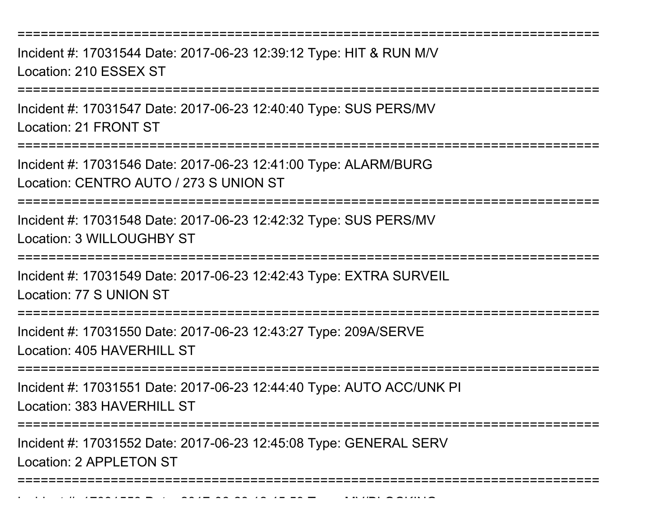===========================================================================

Incident #: 17031544 Date: 2017-06-23 12:39:12 Type: HIT & RUN M/VLocation: 210 ESSEX ST

===========================================================================

Incident #: 17031547 Date: 2017-06-23 12:40:40 Type: SUS PERS/MVLocation: 21 FRONT ST

===========================================================================

Incident #: 17031546 Date: 2017-06-23 12:41:00 Type: ALARM/BURGLocation: CENTRO AUTO / 273 S UNION ST

===========================================================================

Incident #: 17031548 Date: 2017-06-23 12:42:32 Type: SUS PERS/MVLocation: 3 WILLOUGHBY ST

===========================================================================

Incident #: 17031549 Date: 2017-06-23 12:42:43 Type: EXTRA SURVEIL

Location: 77 S UNION ST

Incident #: 17031553 Date: 2017

===========================================================================

Incident #: 17031550 Date: 2017-06-23 12:43:27 Type: 209A/SERVELocation: 405 HAVERHILL ST

=====================

Incident #: 17031551 Date: 2017-06-23 12:44:40 Type: AUTO ACC/UNK PILocation: 383 HAVERHILL ST

**====================** 

Incident #: 17031552 Date: 2017-06-23 12:45:08 Type: GENERAL SERVLocation: 2 APPL FTON ST

===========================================================================

<sup>06</sup> 23 12:45:59 Type: MV/BLOCKING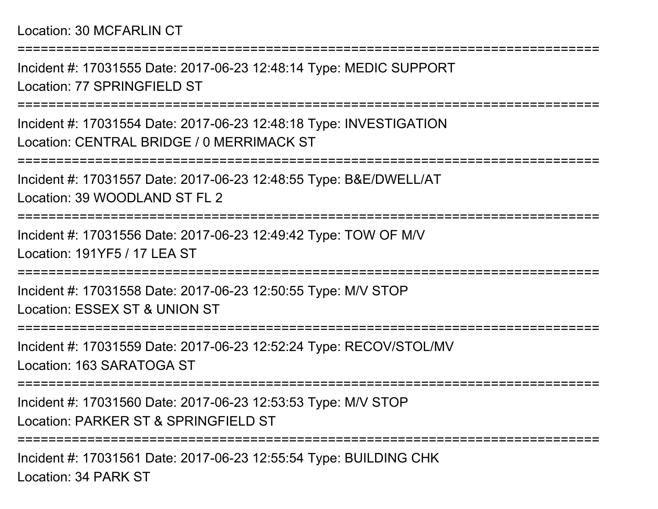## Location: 30 MCFARLIN CT

Incident #: 17031555 Date: 2017-06-23 12:48:14 Type: MEDIC SUPPORTLocation: 77 SPRINGFIELD ST

===========================================================================

===========================================================================

Incident #: 17031554 Date: 2017-06-23 12:48:18 Type: INVESTIGATIONLocation: CENTRAL BRIDGE / 0 MERRIMACK ST

===========================================================================

Incident #: 17031557 Date: 2017-06-23 12:48:55 Type: B&E/DWELL/ATLocation: 39 WOODLAND ST FL 2

===========================================================================

Incident #: 17031556 Date: 2017-06-23 12:49:42 Type: TOW OF M/VLocation: 191YF5 / 17 LEA ST

===========================================================================

Incident #: 17031558 Date: 2017-06-23 12:50:55 Type: M/V STOPLocation: ESSEX ST & UNION ST

===========================================================================

Incident #: 17031559 Date: 2017-06-23 12:52:24 Type: RECOV/STOL/MVLocation: 163 SARATOGA ST

===========================================================================

Incident #: 17031560 Date: 2017-06-23 12:53:53 Type: M/V STOPLocation: PARKER ST & SPRINGFIELD ST

===========================================================================

Incident #: 17031561 Date: 2017-06-23 12:55:54 Type: BUILDING CHKLocation: 34 PARK ST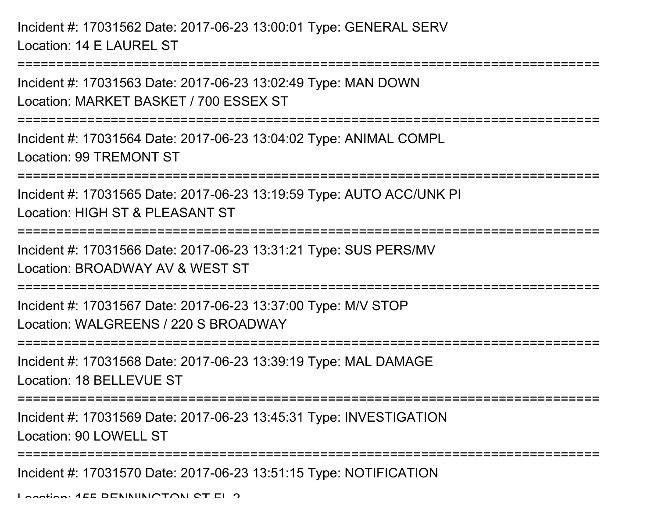Incident #: 17031562 Date: 2017-06-23 13:00:01 Type: GENERAL SERVLocation: 14 E LAUREL ST

===========================================================================

Incident #: 17031563 Date: 2017-06-23 13:02:49 Type: MAN DOWNLocation: MARKET BASKET / 700 ESSEX ST===========================================================================Incident #: 17031564 Date: 2017-06-23 13:04:02 Type: ANIMAL COMPLLocation: 99 TREMONT ST===========================================================================Incident #: 17031565 Date: 2017-06-23 13:19:59 Type: AUTO ACC/UNK PILocation: HIGH ST & PLEASANT ST===========================================================================Incident #: 17031566 Date: 2017-06-23 13:31:21 Type: SUS PERS/MVLocation: BROADWAY AV & WEST ST===========================================================================Incident #: 17031567 Date: 2017-06-23 13:37:00 Type: M/V STOPLocation: WALGREENS / 220 S BROADWAY===========================================================================Incident #: 17031568 Date: 2017-06-23 13:39:19 Type: MAL DAMAGELocation: 18 BELLEVUE ST===========================================================================Incident #: 17031569 Date: 2017-06-23 13:45:31 Type: INVESTIGATIONLocation: 90 LOWELL ST ===========================================================================Incident #: 17031570 Date: 2017-06-23 13:51:15 Type: NOTIFICATION $L$ ocation:  $455$  BENNINGTON ST EL 2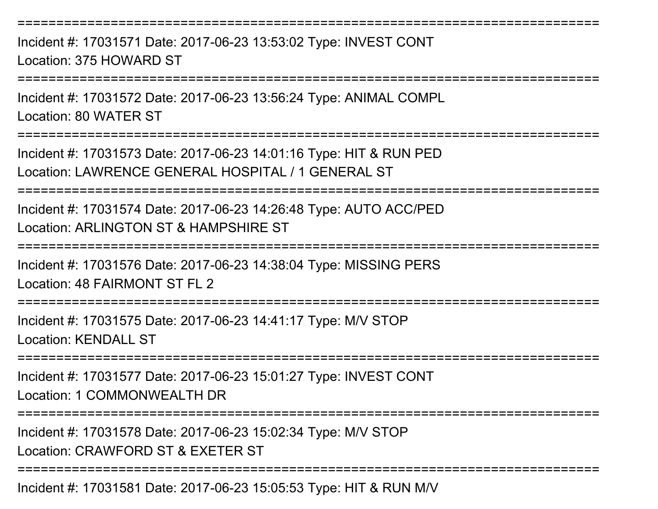===========================================================================

Incident #: 17031571 Date: 2017-06-23 13:53:02 Type: INVEST CONTLocation: 375 HOWARD ST

===========================================================================

Incident #: 17031572 Date: 2017-06-23 13:56:24 Type: ANIMAL COMPLLocation: 80 WATER ST

===========================================================================

Incident #: 17031573 Date: 2017-06-23 14:01:16 Type: HIT & RUN PEDLocation: LAWRENCE GENERAL HOSPITAL / 1 GENERAL ST

===========================================================================

Incident #: 17031574 Date: 2017-06-23 14:26:48 Type: AUTO ACC/PEDLocation: ARLINGTON ST & HAMPSHIRE ST

===========================================================================

Incident #: 17031576 Date: 2017-06-23 14:38:04 Type: MISSING PERSLocation: 48 FAIRMONT ST FL 2

===========================================================================

Incident #: 17031575 Date: 2017-06-23 14:41:17 Type: M/V STOPLocation: KENDALL ST

================

Incident #: 17031577 Date: 2017-06-23 15:01:27 Type: INVEST CONTLocation: 1 COMMONWEALTH DR

===========================================================================

Incident #: 17031578 Date: 2017-06-23 15:02:34 Type: M/V STOP

Location: CRAWFORD ST & EXETER ST

===========================================================================

Incident #: 17031581 Date: 2017-06-23 15:05:53 Type: HIT & RUN M/V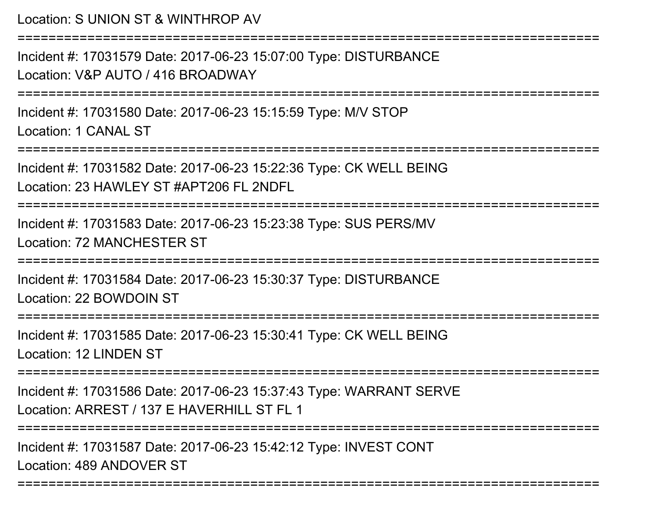Location: S UNION ST & WINTHROP AV

===========================================================================Incident #: 17031579 Date: 2017-06-23 15:07:00 Type: DISTURBANCELocation: V&P AUTO / 416 BROADWAY===========================================================================Incident #: 17031580 Date: 2017-06-23 15:15:59 Type: M/V STOPLocation: 1 CANAL ST===========================================================================Incident #: 17031582 Date: 2017-06-23 15:22:36 Type: CK WELL BEINGLocation: 23 HAWLEY ST #APT206 FL 2NDFL===========================================================================Incident #: 17031583 Date: 2017-06-23 15:23:38 Type: SUS PERS/MVLocation: 72 MANCHESTER ST======================= Incident #: 17031584 Date: 2017-06-23 15:30:37 Type: DISTURBANCELocation: 22 BOWDOIN ST===========================================================================Incident #: 17031585 Date: 2017-06-23 15:30:41 Type: CK WELL BEINGLocation: 12 LINDEN ST===========================================================================Incident #: 17031586 Date: 2017-06-23 15:37:43 Type: WARRANT SERVELocation: ARREST / 137 F HAVERHILL ST FL 1 ===========================================================================Incident #: 17031587 Date: 2017-06-23 15:42:12 Type: INVEST CONTLocation: 489 ANDOVER ST===========================================================================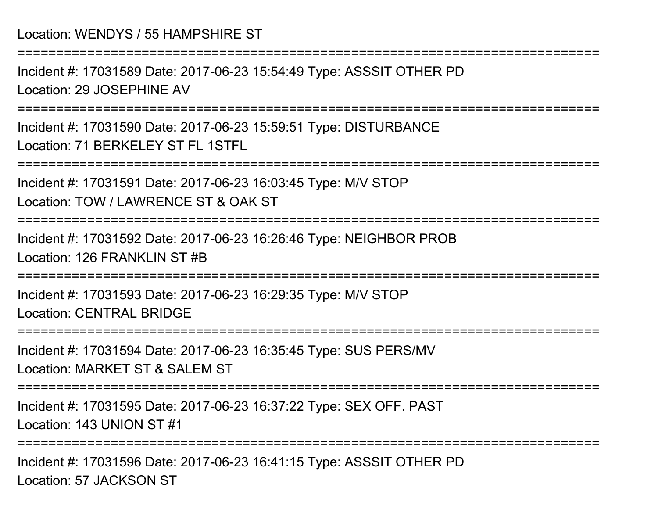===========================================================================

Incident #: 17031589 Date: 2017-06-23 15:54:49 Type: ASSSIT OTHER PDLocation: 29 JOSEPHINE AV

===========================================================================

Incident #: 17031590 Date: 2017-06-23 15:59:51 Type: DISTURBANCELocation: 71 BERKELEY ST FL 1STFL

===========================================================================

Incident #: 17031591 Date: 2017-06-23 16:03:45 Type: M/V STOPLocation: TOW / LAWRENCE ST & OAK ST

===========================================================================

Incident #: 17031592 Date: 2017-06-23 16:26:46 Type: NEIGHBOR PROBLocation: 126 FRANKLIN ST #B

===========================================================================

Incident #: 17031593 Date: 2017-06-23 16:29:35 Type: M/V STOPLocation: CENTRAL BRIDGE

===========================================================================

Incident #: 17031594 Date: 2017-06-23 16:35:45 Type: SUS PERS/MVLocation: MARKET ST & SALEM ST

===========================================================================

Incident #: 17031595 Date: 2017-06-23 16:37:22 Type: SEX OFF. PASTLocation: 143 UNION ST #1

===========================================================================

Incident #: 17031596 Date: 2017-06-23 16:41:15 Type: ASSSIT OTHER PDLocation: 57 JACKSON ST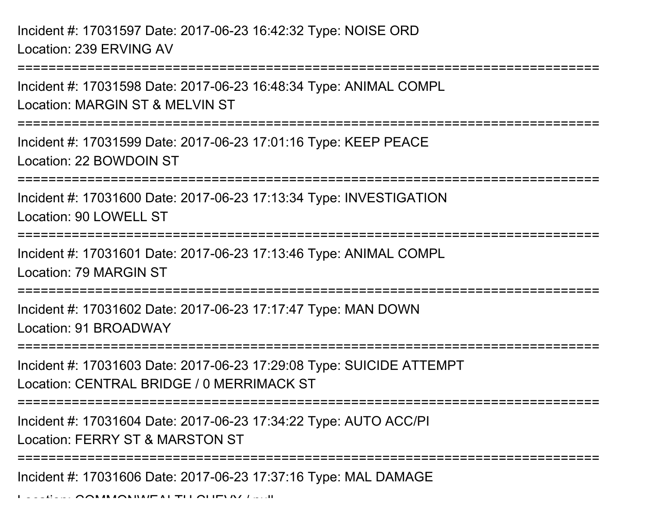Incident #: 17031597 Date: 2017-06-23 16:42:32 Type: NOISE ORDLocation: 239 ERVING AV

===========================================================================Incident #: 17031598 Date: 2017-06-23 16:48:34 Type: ANIMAL COMPLLocation: MARGIN ST & MELVIN ST===========================================================================Incident #: 17031599 Date: 2017-06-23 17:01:16 Type: KEEP PEACELocation: 22 BOWDOIN ST===========================================================================Incident #: 17031600 Date: 2017-06-23 17:13:34 Type: INVESTIGATIONLocation: 90 LOWELL ST ===========================================================================Incident #: 17031601 Date: 2017-06-23 17:13:46 Type: ANIMAL COMPLLocation: 79 MARGIN ST===========================================================================Incident #: 17031602 Date: 2017-06-23 17:17:47 Type: MAN DOWNLocation: 91 BROADWAY===========================================================================Incident #: 17031603 Date: 2017-06-23 17:29:08 Type: SUICIDE ATTEMPTLocation: CENTRAL BRIDGE / 0 MERRIMACK ST===========================================================================Incident #: 17031604 Date: 2017-06-23 17:34:22 Type: AUTO ACC/PILocation: FERRY ST & MARSTON ST===========================================================================

Incident #: 17031606 Date: 2017-06-23 17:37:16 Type: MAL DAMAGE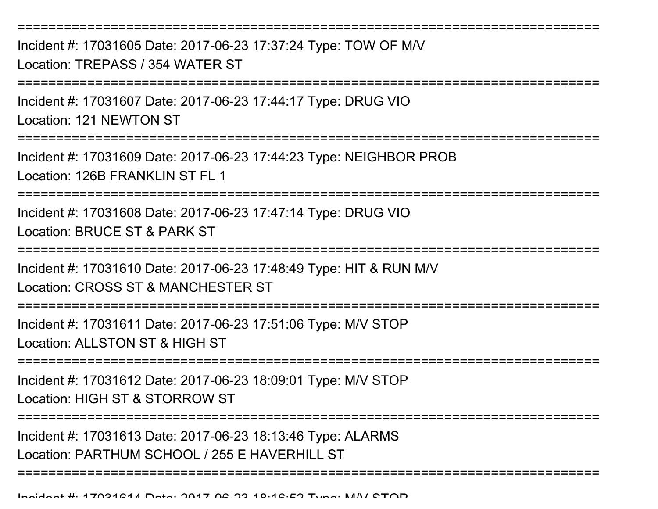===========================================================================

Incident #: 17031605 Date: 2017-06-23 17:37:24 Type: TOW OF M/VLocation: TREPASS / 354 WATER ST

===========================================================================

Incident #: 17031607 Date: 2017-06-23 17:44:17 Type: DRUG VIOLocation: 121 NEWTON ST

===========================================================================

Incident #: 17031609 Date: 2017-06-23 17:44:23 Type: NEIGHBOR PROBLocation: 126B FRANKLIN ST FL 1

===========================================================================

Incident #: 17031608 Date: 2017-06-23 17:47:14 Type: DRUG VIOLocation: BRUCE ST & PARK ST

========================

Incident #: 17031610 Date: 2017-06-23 17:48:49 Type: HIT & RUN M/VLocation: CROSS ST & MANCHESTER ST

===========================================================================

Incident #: 17031611 Date: 2017-06-23 17:51:06 Type: M/V STOPLocation: ALLSTON ST & HIGH ST

===========================================================================

Incident #: 17031612 Date: 2017-06-23 18:09:01 Type: M/V STOPLocation: HIGH ST & STORROW ST

===========================================================================

===========================================================================

Incident #: 17031613 Date: 2017-06-23 18:13:46 Type: ALARMSLocation: PARTHUM SCHOOL / 255 E HAVERHILL ST

Incident #: 17031614 Date: 2017 <sup>06</sup> 23 18:16:52 Type: M/V STOP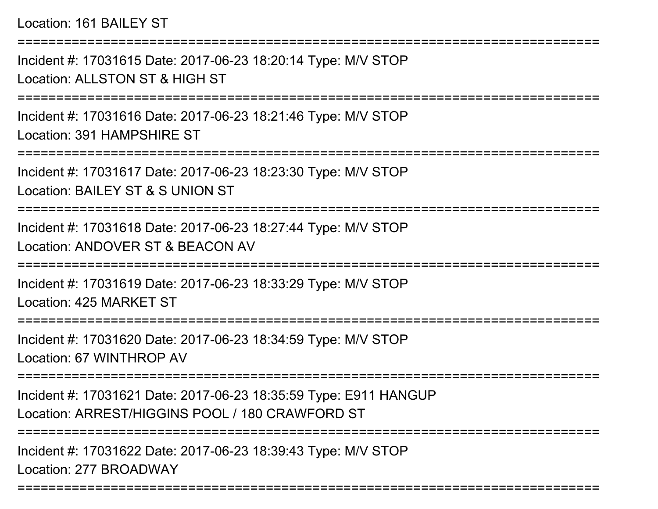### Location: 161 BAILEY ST

===========================================================================

Incident #: 17031615 Date: 2017-06-23 18:20:14 Type: M/V STOPLocation: ALLSTON ST & HIGH ST

===========================================================================

Incident #: 17031616 Date: 2017-06-23 18:21:46 Type: M/V STOPLocation: 391 HAMPSHIRE ST

===========================================================================

Incident #: 17031617 Date: 2017-06-23 18:23:30 Type: M/V STOPLocation: BAILEY ST & S UNION ST

===========================================================================

Incident #: 17031618 Date: 2017-06-23 18:27:44 Type: M/V STOPLocation: ANDOVER ST & BEACON AV

===========================================================================

Incident #: 17031619 Date: 2017-06-23 18:33:29 Type: M/V STOPLocation: 425 MARKET ST

===========================================================================

Incident #: 17031620 Date: 2017-06-23 18:34:59 Type: M/V STOPLocation: 67 WINTHROP AV

===========================================================================

Incident #: 17031621 Date: 2017-06-23 18:35:59 Type: E911 HANGUPLocation: ARREST/HIGGINS POOL / 180 CRAWFORD ST

===========================================================================

===========================================================================

Incident #: 17031622 Date: 2017-06-23 18:39:43 Type: M/V STOPLocation: 277 BROADWAY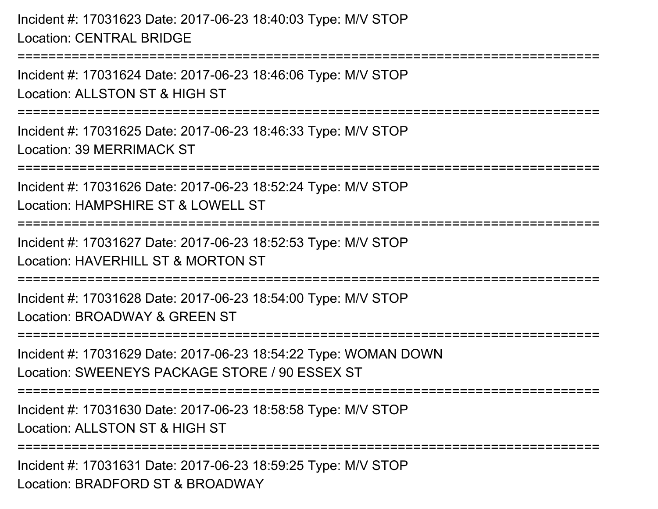Incident #: 17031623 Date: 2017-06-23 18:40:03 Type: M/V STOPLocation: CENTRAL BRIDGE===========================================================================Incident #: 17031624 Date: 2017-06-23 18:46:06 Type: M/V STOPLocation: ALLSTON ST & HIGH ST===========================================================================Incident #: 17031625 Date: 2017-06-23 18:46:33 Type: M/V STOPLocation: 39 MERRIMACK ST===========================================================================Incident #: 17031626 Date: 2017-06-23 18:52:24 Type: M/V STOPLocation: HAMPSHIRF ST & LOWELL ST ===========================================================================Incident #: 17031627 Date: 2017-06-23 18:52:53 Type: M/V STOPLocation: HAVERHILL ST & MORTON ST ===========================================================================Incident #: 17031628 Date: 2017-06-23 18:54:00 Type: M/V STOPLocation: BROADWAY & GREEN ST===========================================================================Incident #: 17031629 Date: 2017-06-23 18:54:22 Type: WOMAN DOWNLocation: SWEENEYS PACKAGE STORE / 90 ESSEX ST===========================================================================Incident #: 17031630 Date: 2017-06-23 18:58:58 Type: M/V STOPLocation: ALLSTON ST & HIGH ST===========================================================================Incident #: 17031631 Date: 2017-06-23 18:59:25 Type: M/V STOP

Location: BRADFORD ST & BROADWAY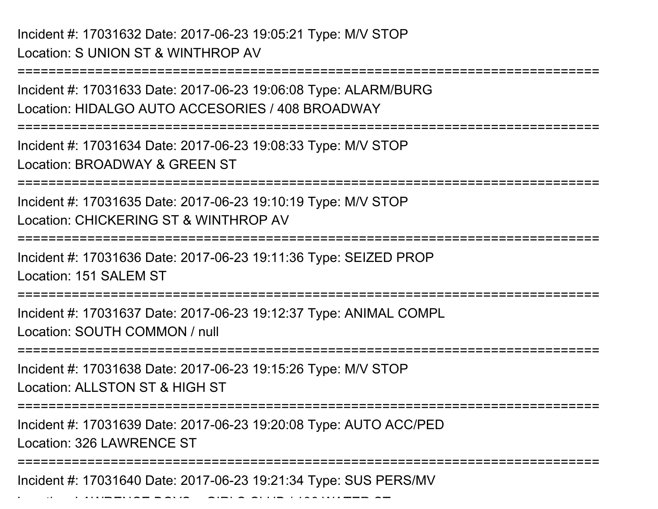Location: LAWRENCE BOYS + GIRLS CLUB / 136 WATER ST

===========================================================================Incident #: 17031633 Date: 2017-06-23 19:06:08 Type: ALARM/BURGLocation: HIDALGO AUTO ACCESORIES / 408 BROADWAY===========================================================================Incident #: 17031634 Date: 2017-06-23 19:08:33 Type: M/V STOPLocation: BROADWAY & GREEN ST===========================================================================Incident #: 17031635 Date: 2017-06-23 19:10:19 Type: M/V STOPLocation: CHICKERING ST & WINTHROP AV===========================================================================Incident #: 17031636 Date: 2017-06-23 19:11:36 Type: SEIZED PROPLocation: 151 SALEM ST===========================================================================Incident #: 17031637 Date: 2017-06-23 19:12:37 Type: ANIMAL COMPLLocation: SOUTH COMMON / null===========================================================================Incident #: 17031638 Date: 2017-06-23 19:15:26 Type: M/V STOPLocation: ALLSTON ST & HIGH ST===========================================================================Incident #: 17031639 Date: 2017-06-23 19:20:08 Type: AUTO ACC/PEDLocation: 326 LAWRENCE ST===========================================================================Incident #: 17031640 Date: 2017-06-23 19:21:34 Type: SUS PERS/MV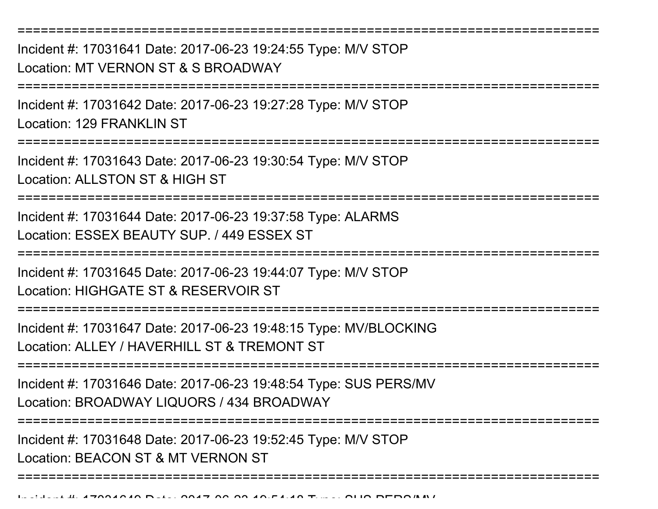===========================================================================Incident #: 17031641 Date: 2017-06-23 19:24:55 Type: M/V STOPLocation: MT VERNON ST & S BROADWAY===========================================================================Incident #: 17031642 Date: 2017-06-23 19:27:28 Type: M/V STOPLocation: 129 FRANKLIN ST ===========================================================================Incident #: 17031643 Date: 2017-06-23 19:30:54 Type: M/V STOPLocation: ALLSTON ST & HIGH ST===========================================================================Incident #: 17031644 Date: 2017-06-23 19:37:58 Type: ALARMSLocation: ESSEX BEAUTY SUP. / 449 ESSEX ST===========================================================================Incident #: 17031645 Date: 2017-06-23 19:44:07 Type: M/V STOPLocation: HIGHGATE ST & RESERVOIR ST===========================================================================Incident #: 17031647 Date: 2017-06-23 19:48:15 Type: MV/BLOCKINGLocation: ALLEY / HAVERHILL ST & TREMONT ST====================== Incident #: 17031646 Date: 2017-06-23 19:48:54 Type: SUS PERS/MVLocation: BROADWAY LIQUORS / 434 BROADWAY===========================================================================Incident #: 17031648 Date: 2017-06-23 19:52:45 Type: M/V STOPLocation: BEACON ST & MT VERNON ST===========================================================================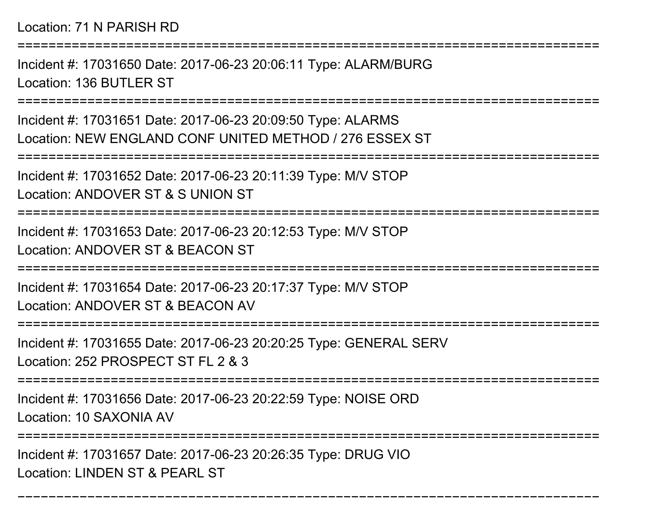===========================================================================

Incident #: 17031650 Date: 2017-06-23 20:06:11 Type: ALARM/BURGLocation: 136 BUTLER ST

**===============** 

```
Incident #: 17031651 Date: 2017-06-23 20:09:50 Type: ALARMS
Location: NEW ENGLAND CONF UNITED METHOD / 276 ESSEX ST
```

```
===========================================================================
```
Incident #: 17031652 Date: 2017-06-23 20:11:39 Type: M/V STOP

Location: ANDOVER ST & S UNION ST

```
===========================================================================
```
Incident #: 17031653 Date: 2017-06-23 20:12:53 Type: M/V STOPLocation: ANDOVER ST & BEACON ST

===========================================================================

Incident #: 17031654 Date: 2017-06-23 20:17:37 Type: M/V STOPLocation: ANDOVER ST & BEACON AV

```
===========================================================================
```
Incident #: 17031655 Date: 2017-06-23 20:20:25 Type: GENERAL SERV

Location: 252 PROSPECT ST FL 2 & 3

===========================================================================

Incident #: 17031656 Date: 2017-06-23 20:22:59 Type: NOISE ORD

Location: 10 SAXONIA AV

==================

===========================================================================

Incident #: 17031657 Date: 2017-06-23 20:26:35 Type: DRUG VIOLocation: LINDEN ST & PEARL ST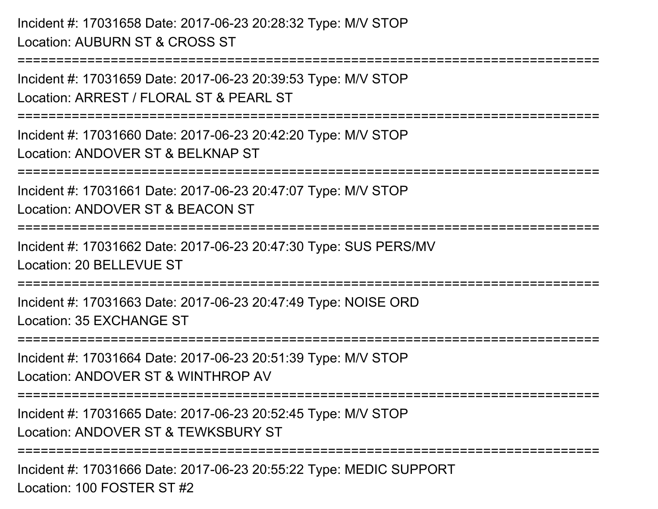Incident #: 17031658 Date: 2017-06-23 20:28:32 Type: M/V STOPLocation: AUBURN ST & CROSS ST===========================================================================Incident #: 17031659 Date: 2017-06-23 20:39:53 Type: M/V STOPLocation: ARREST / FLORAL ST & PEARL ST===========================================================================Incident #: 17031660 Date: 2017-06-23 20:42:20 Type: M/V STOPLocation: ANDOVER ST & BELKNAP ST===========================================================================Incident #: 17031661 Date: 2017-06-23 20:47:07 Type: M/V STOPLocation: ANDOVER ST & BEACON ST===========================================================================Incident #: 17031662 Date: 2017-06-23 20:47:30 Type: SUS PERS/MVLocation: 20 BELLEVUE ST===========================================================================Incident #: 17031663 Date: 2017-06-23 20:47:49 Type: NOISE ORDLocation: 35 EXCHANGE ST===========================================================================Incident #: 17031664 Date: 2017-06-23 20:51:39 Type: M/V STOPLocation: ANDOVER ST & WINTHROP AV===========================================================================Incident #: 17031665 Date: 2017-06-23 20:52:45 Type: M/V STOPLocation: ANDOVER ST & TEWKSBURY ST===========================================================================Incident #: 17031666 Date: 2017-06-23 20:55:22 Type: MEDIC SUPPORTLocation: 100 FOSTER ST #2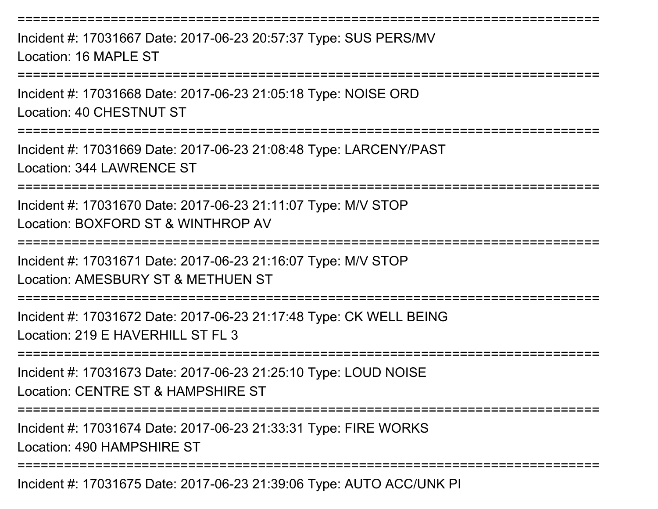Incident #: 17031667 Date: 2017-06-23 20:57:37 Type: SUS PERS/MVLocation: 16 MAPLE ST

===========================================================================

===========================================================================

Incident #: 17031668 Date: 2017-06-23 21:05:18 Type: NOISE ORDLocation: 40 CHESTNUT ST

===========================================================================

Incident #: 17031669 Date: 2017-06-23 21:08:48 Type: LARCENY/PASTLocation: 344 LAWRENCE ST

===========================================================================

Incident #: 17031670 Date: 2017-06-23 21:11:07 Type: M/V STOPLocation: BOXFORD ST & WINTHROP AV

===========================================================================

Incident #: 17031671 Date: 2017-06-23 21:16:07 Type: M/V STOP

Location: AMESBURY ST & METHUEN ST

===========================================================================

Incident #: 17031672 Date: 2017-06-23 21:17:48 Type: CK WELL BEINGLocation: 219 E HAVERHILL ST FL 3

===========================================================================

Incident #: 17031673 Date: 2017-06-23 21:25:10 Type: LOUD NOISELocation: CENTRE ST & HAMPSHIRE ST

**=====================** 

Incident #: 17031674 Date: 2017-06-23 21:33:31 Type: FIRE WORKSLocation: 490 HAMPSHIRE ST

===========================================================================

Incident #: 17031675 Date: 2017-06-23 21:39:06 Type: AUTO ACC/UNK PI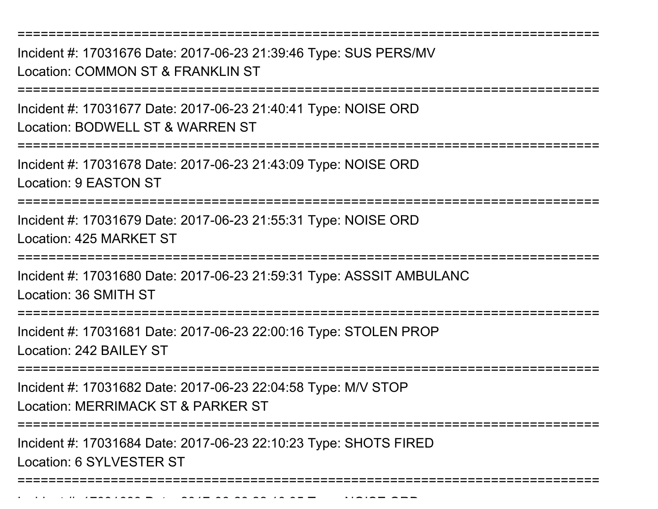Incident #: 17031676 Date: 2017-06-23 21:39:46 Type: SUS PERS/MVLocation: COMMON ST & FRANKLIN ST

===========================================================================

===========================================================================

Incident #: 17031677 Date: 2017-06-23 21:40:41 Type: NOISE ORDLocation: BODWELL ST & WARREN ST

===========================================================================

Incident #: 17031678 Date: 2017-06-23 21:43:09 Type: NOISE ORDLocation: 9 EASTON ST

===========================================================================

Incident #: 17031679 Date: 2017-06-23 21:55:31 Type: NOISE ORDLocation: 425 MARKET ST

===========================================================================

Incident #: 17031680 Date: 2017-06-23 21:59:31 Type: ASSSIT AMBULANCLocation: 36 SMITH ST

===========================================================================

Incident #: 17031681 Date: 2017-06-23 22:00:16 Type: STOLEN PROPLocation: 242 BAILEY ST

===========================================================================

Incident #: 17031682 Date: 2017-06-23 22:04:58 Type: M/V STOP

Location: MERRIMACK ST & PARKER ST

Incident #: 17031683 Date: 2017

===========================================================================

Incident #: 17031684 Date: 2017-06-23 22:10:23 Type: SHOTS FIREDLocation: 6 SYLVESTER ST

===========================================================================

<sup>06</sup> 23 22:10:35 Type: NOISE ORD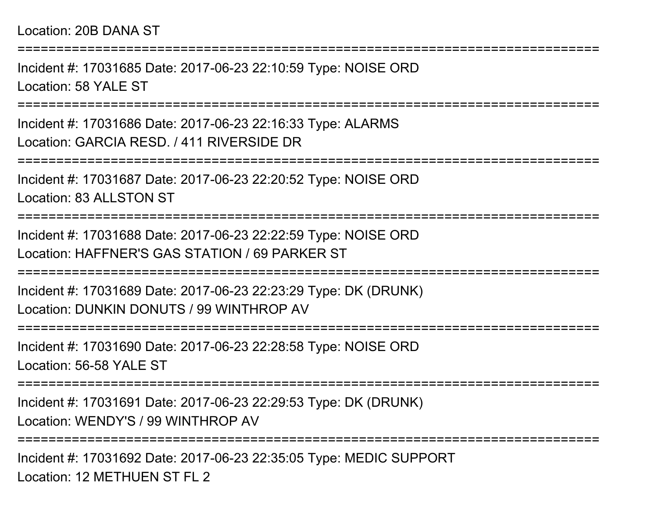### Location: 20B DANA ST

===========================================================================Incident #: 17031685 Date: 2017-06-23 22:10:59 Type: NOISE ORDLocation: 58 YALE ST===========================================================================Incident #: 17031686 Date: 2017-06-23 22:16:33 Type: ALARMSLocation: GARCIA RESD. / 411 RIVERSIDE DR===========================================================================Incident #: 17031687 Date: 2017-06-23 22:20:52 Type: NOISE ORDLocation: 83 ALLSTON ST===========================================================================Incident #: 17031688 Date: 2017-06-23 22:22:59 Type: NOISE ORDLocation: HAFFNER'S GAS STATION / 69 PARKER ST===========================================================================Incident #: 17031689 Date: 2017-06-23 22:23:29 Type: DK (DRUNK)Location: DUNKIN DONUTS / 99 WINTHROP AV===========================================================================Incident #: 17031690 Date: 2017-06-23 22:28:58 Type: NOISE ORDLocation: 56-58 YALE ST===========================================================================Incident #: 17031691 Date: 2017-06-23 22:29:53 Type: DK (DRUNK)Location: WENDY'S / 99 WINTHROP AV===========================================================================

Incident #: 17031692 Date: 2017-06-23 22:35:05 Type: MEDIC SUPPORTLocation: 12 METHUEN ST FL 2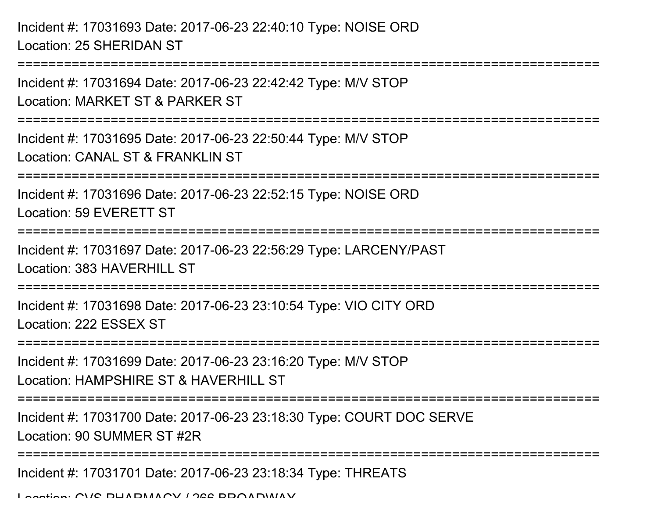Incident #: 17031693 Date: 2017-06-23 22:40:10 Type: NOISE ORDLocation: 25 SHERIDAN ST

===========================================================================

Incident #: 17031694 Date: 2017-06-23 22:42:42 Type: M/V STOPLocation: MARKET ST & PARKER ST===========================================================================Incident #: 17031695 Date: 2017-06-23 22:50:44 Type: M/V STOPLocation: CANAL ST & FRANKLIN ST===========================================================================Incident #: 17031696 Date: 2017-06-23 22:52:15 Type: NOISE ORDLocation: 59 EVERETT ST===========================================================================Incident #: 17031697 Date: 2017-06-23 22:56:29 Type: LARCENY/PASTLocation: 383 HAVERHILL ST===========================================================================Incident #: 17031698 Date: 2017-06-23 23:10:54 Type: VIO CITY ORDLocation: 222 ESSEX ST===========================================================================Incident #: 17031699 Date: 2017-06-23 23:16:20 Type: M/V STOPLocation: HAMPSHIRE ST & HAVERHILL ST===========================================================================Incident #: 17031700 Date: 2017-06-23 23:18:30 Type: COURT DOC SERVELocation: 90 SUMMER ST #2R ===========================================================================Incident #: 17031701 Date: 2017-06-23 23:18:34 Type: THREATS

Location: CVS PHARMACY / 266 BROADWAY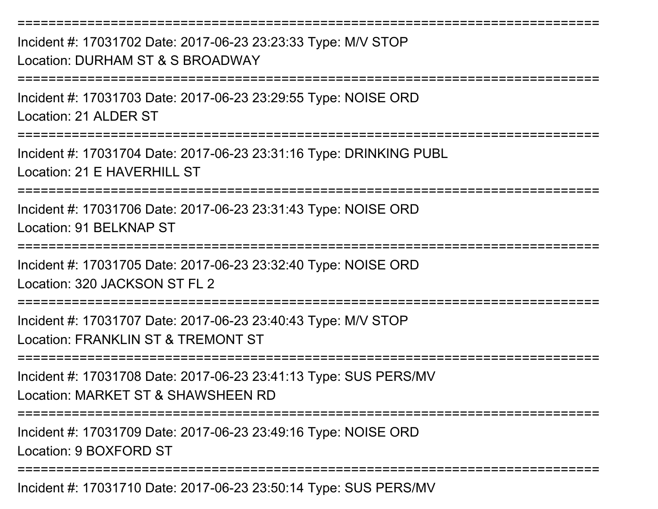===========================================================================Incident #: 17031702 Date: 2017-06-23 23:23:33 Type: M/V STOPLocation: DURHAM ST & S BROADWAY===========================================================================Incident #: 17031703 Date: 2017-06-23 23:29:55 Type: NOISE ORDLocation: 21 ALDER ST===========================================================================Incident #: 17031704 Date: 2017-06-23 23:31:16 Type: DRINKING PUBLLocation: 21 E HAVERHILL ST===========================================================================Incident #: 17031706 Date: 2017-06-23 23:31:43 Type: NOISE ORDLocation: 91 BELKNAP ST===========================================================================Incident #: 17031705 Date: 2017-06-23 23:32:40 Type: NOISE ORDLocation: 320 JACKSON ST FL 2===========================================================================Incident #: 17031707 Date: 2017-06-23 23:40:43 Type: M/V STOPLocation: FRANKLIN ST & TREMONT ST ===========================================================================Incident #: 17031708 Date: 2017-06-23 23:41:13 Type: SUS PERS/MVLocation: MARKET ST & SHAWSHEEN RD===========================================================================Incident #: 17031709 Date: 2017-06-23 23:49:16 Type: NOISE ORDLocation: 9 BOXFORD ST===========================================================================

Incident #: 17031710 Date: 2017-06-23 23:50:14 Type: SUS PERS/MV